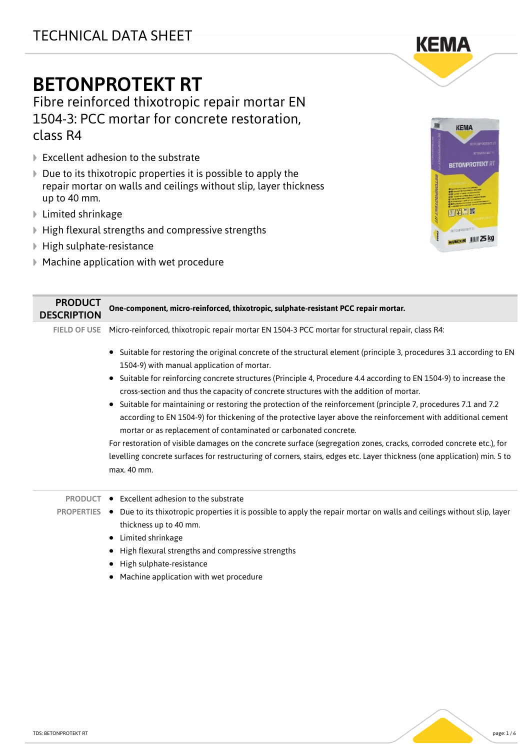# BETONPROTEKT RT

Fibre reinforced thixotropic repair mortar EN 1504-3: PCC mortar for concrete restoration, class R4

- **▶ Excellent adhesion to the substrate**
- $\triangleright$  Due to its thixotropic properties it is possible to apply the repair mortar on walls and ceilings without slip, layer thickness up to 40 mm.
- Limited shrinkage
- $\blacktriangleright$  High flexural strengths and compressive strengths
- High sulphate-resistance
- Machine application with wet procedure



**KEMA** 

| <b>PRODUCT</b><br><b>DESCRIPTION</b> | One-component, micro-reinforced, thixotropic, sulphate-resistant PCC repair mortar.                                                                                                                                                                                                                              |
|--------------------------------------|------------------------------------------------------------------------------------------------------------------------------------------------------------------------------------------------------------------------------------------------------------------------------------------------------------------|
| <b>FIELD OF USE</b>                  | Micro-reinforced, thixotropic repair mortar EN 1504-3 PCC mortar for structural repair, class R4:                                                                                                                                                                                                                |
|                                      | Suitable for restoring the original concrete of the structural element (principle 3, procedures 3.1 according to EN<br>$\bullet$<br>1504-9) with manual application of mortar.                                                                                                                                   |
|                                      | Suitable for reinforcing concrete structures (Principle 4, Procedure 4.4 according to EN 1504-9) to increase the<br>٠<br>cross-section and thus the capacity of concrete structures with the addition of mortar.                                                                                                 |
|                                      | Suitable for maintaining or restoring the protection of the reinforcement (principle 7, procedures 7.1 and 7.2<br>$\bullet$<br>according to EN 1504-9) for thickening of the protective layer above the reinforcement with additional cement<br>mortar or as replacement of contaminated or carbonated concrete. |
|                                      | For restoration of visible damages on the concrete surface (segregation zones, cracks, corroded concrete etc.), for                                                                                                                                                                                              |
|                                      | levelling concrete surfaces for restructuring of corners, stairs, edges etc. Layer thickness (one application) min. 5 to<br>max. 40 mm.                                                                                                                                                                          |
| <b>PRODUCT</b>                       | Excellent adhesion to the substrate<br>$\bullet$                                                                                                                                                                                                                                                                 |
| <b>PROPERTIES</b>                    | Due to its thixotropic properties it is possible to apply the repair mortar on walls and ceilings without slip, layer<br>٠<br>thickness up to 40 mm.<br>Limited shrinkage<br>٠                                                                                                                                   |
|                                      | High flexural strengths and compressive strengths<br>٠                                                                                                                                                                                                                                                           |
|                                      | High sulphate-resistance                                                                                                                                                                                                                                                                                         |
|                                      | Machine application with wet procedure<br>٠                                                                                                                                                                                                                                                                      |

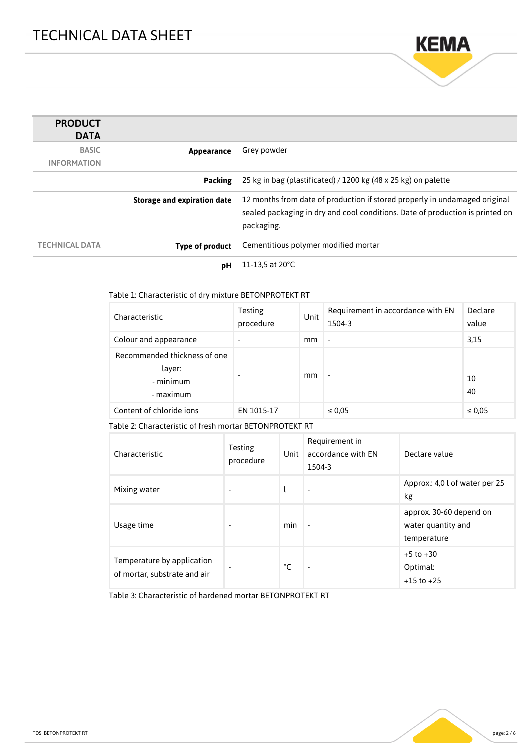

| <b>PRODUCT</b><br><b>DATA</b> |                                    |                                                                                                                                                                           |
|-------------------------------|------------------------------------|---------------------------------------------------------------------------------------------------------------------------------------------------------------------------|
| <b>BASIC</b>                  | Appearance                         | Grey powder                                                                                                                                                               |
| <b>INFORMATION</b>            |                                    |                                                                                                                                                                           |
|                               | Packing                            | 25 kg in bag (plastificated) / 1200 kg (48 x 25 kg) on palette                                                                                                            |
|                               | <b>Storage and expiration date</b> | 12 months from date of production if stored properly in undamaged original<br>sealed packaging in dry and cool conditions. Date of production is printed on<br>packaging. |
| <b>TECHNICAL DATA</b>         | Type of product                    | Cementitious polymer modified mortar                                                                                                                                      |
|                               | рH                                 | 11-13.5 at 20°C                                                                                                                                                           |

| Table 1: Characteristic of dry mixture BETONPROTEKT RT           |                      |      |                                             |                  |
|------------------------------------------------------------------|----------------------|------|---------------------------------------------|------------------|
| Characteristic                                                   | Testing<br>procedure | Unit | Requirement in accordance with EN<br>1504-3 | Declare<br>value |
| Colour and appearance                                            | $\blacksquare$       | mm   | $\overline{\phantom{a}}$                    | 3,15             |
| Recommended thickness of one<br>layer:<br>- minimum<br>- maximum |                      | mm   | $\overline{\phantom{a}}$                    | 10<br>40         |
| Content of chloride jons                                         | EN 1015-17           |      | $\leq 0.05$                                 | $\leq 0.05$      |

Table 2: Characteristic of fresh mortar BETONPROTEKT RT

| Characteristic                                             | Testing<br>procedure | Unit | Requirement in<br>accordance with EN<br>1504-3 | Declare value                                                |
|------------------------------------------------------------|----------------------|------|------------------------------------------------|--------------------------------------------------------------|
| Mixing water                                               |                      |      |                                                | Approx.: 4,0 l of water per 25<br>kg                         |
| Usage time                                                 |                      | min  |                                                | approx. 30-60 depend on<br>water quantity and<br>temperature |
| Temperature by application<br>of mortar, substrate and air |                      | °C   | ٠                                              | $+5$ to $+30$<br>Optimal:<br>$+15$ to $+25$                  |

Table 3: Characteristic of hardened mortar BETONPROTEKT RT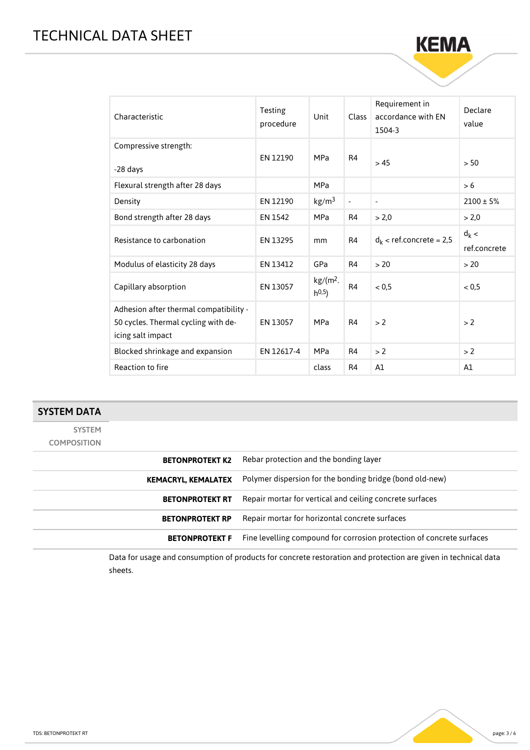# TECHNICAL DATA SHEET

| Characteristic                                                                                     | Testing<br>procedure | Unit                               | <b>Class</b>   | Requirement in<br>accordance with FN<br>1504-3 | Declare<br>value        |
|----------------------------------------------------------------------------------------------------|----------------------|------------------------------------|----------------|------------------------------------------------|-------------------------|
| Compressive strength:<br>-28 days                                                                  | EN 12190             | <b>MPa</b>                         | R4             | > 45                                           | > 50                    |
| Flexural strength after 28 days                                                                    |                      | <b>MPa</b>                         |                |                                                | > 6                     |
| Density                                                                                            | EN 12190             | kg/m <sup>3</sup>                  | $\blacksquare$ | $\overline{\phantom{a}}$                       | $2100 \pm 5\%$          |
| Bond strength after 28 days                                                                        | EN 1542              | <b>MPa</b>                         | R <sub>4</sub> | > 2,0                                          | > 2.0                   |
| Resistance to carbonation                                                                          | EN 13295             | mm                                 | R4             | $d_k$ < ref.concrete = 2,5                     | $d_k$ <<br>ref.concrete |
| Modulus of elasticity 28 days                                                                      | EN 13412             | GPa                                | R4             | > 20                                           | > 20                    |
| Capillary absorption                                                                               | EN 13057             | kg/(m <sup>2</sup> ).<br>$h^{0,5}$ | R <sub>4</sub> | < 0.5                                          | < 0.5                   |
| Adhesion after thermal compatibility -<br>50 cycles. Thermal cycling with de-<br>icing salt impact | EN 13057             | <b>MPa</b>                         | R <sub>4</sub> | > 2                                            | > 2                     |
| Blocked shrinkage and expansion                                                                    | EN 12617-4           | <b>MPa</b>                         | R4             | > 2                                            | > 2                     |
| Reaction to fire                                                                                   |                      | class                              | R4             | A1                                             | A1                      |

**KEMA** 

#### SYSTEM DATA

SYSTEM COMPOSITION

| <b>BETONPROTEKT K2</b>     | Rebar protection and the bonding layer                                |
|----------------------------|-----------------------------------------------------------------------|
| <b>KEMACRYL, KEMALATEX</b> | Polymer dispersion for the bonding bridge (bond old-new)              |
| <b>BETONPROTEKT RT</b>     | Repair mortar for vertical and ceiling concrete surfaces              |
| <b>BETONPROTEKT RP</b>     | Repair mortar for horizontal concrete surfaces                        |
| <b>BETONPROTEKT F</b>      | Fine levelling compound for corrosion protection of concrete surfaces |
|                            |                                                                       |

Data for usage and consumption of products for concrete restoration and protection are given in technical data sheets.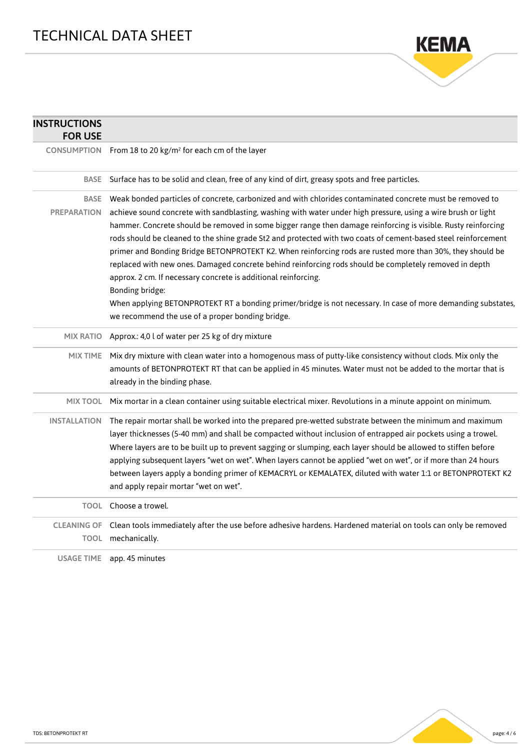

| <b>INSTRUCTIONS</b><br><b>FOR USE</b> |                                                                                                                                                                                                                                                                                                                                                                                                                                                                                                                                                                                                                                                                                                                                                                                |
|---------------------------------------|--------------------------------------------------------------------------------------------------------------------------------------------------------------------------------------------------------------------------------------------------------------------------------------------------------------------------------------------------------------------------------------------------------------------------------------------------------------------------------------------------------------------------------------------------------------------------------------------------------------------------------------------------------------------------------------------------------------------------------------------------------------------------------|
|                                       | CONSUMPTION From 18 to 20 kg/m <sup>2</sup> for each cm of the layer                                                                                                                                                                                                                                                                                                                                                                                                                                                                                                                                                                                                                                                                                                           |
|                                       | BASE Surface has to be solid and clean, free of any kind of dirt, greasy spots and free particles.                                                                                                                                                                                                                                                                                                                                                                                                                                                                                                                                                                                                                                                                             |
| <b>PREPARATION</b>                    | BASE Weak bonded particles of concrete, carbonized and with chlorides contaminated concrete must be removed to<br>achieve sound concrete with sandblasting, washing with water under high pressure, using a wire brush or light<br>hammer. Concrete should be removed in some bigger range then damage reinforcing is visible. Rusty reinforcing<br>rods should be cleaned to the shine grade St2 and protected with two coats of cement-based steel reinforcement<br>primer and Bonding Bridge BETONPROTEKT K2. When reinforcing rods are rusted more than 30%, they should be<br>replaced with new ones. Damaged concrete behind reinforcing rods should be completely removed in depth<br>approx. 2 cm. If necessary concrete is additional reinforcing.<br>Bonding bridge: |
|                                       | When applying BETONPROTEKT RT a bonding primer/bridge is not necessary. In case of more demanding substates,<br>we recommend the use of a proper bonding bridge.                                                                                                                                                                                                                                                                                                                                                                                                                                                                                                                                                                                                               |
|                                       | MIX RATIO Approx.: 4,0 l of water per 25 kg of dry mixture                                                                                                                                                                                                                                                                                                                                                                                                                                                                                                                                                                                                                                                                                                                     |
| <b>MIX TIME</b>                       | Mix dry mixture with clean water into a homogenous mass of putty-like consistency without clods. Mix only the<br>amounts of BETONPROTEKT RT that can be applied in 45 minutes. Water must not be added to the mortar that is<br>already in the binding phase.                                                                                                                                                                                                                                                                                                                                                                                                                                                                                                                  |
|                                       | MIX TOOL Mix mortar in a clean container using suitable electrical mixer. Revolutions in a minute appoint on minimum.                                                                                                                                                                                                                                                                                                                                                                                                                                                                                                                                                                                                                                                          |
| <b>INSTALLATION</b>                   | The repair mortar shall be worked into the prepared pre-wetted substrate between the minimum and maximum<br>layer thicknesses (5-40 mm) and shall be compacted without inclusion of entrapped air pockets using a trowel.<br>Where layers are to be built up to prevent sagging or slumping, each layer should be allowed to stiffen before<br>applying subsequent layers "wet on wet". When layers cannot be applied "wet on wet", or if more than 24 hours<br>between layers apply a bonding primer of KEMACRYL or KEMALATEX, diluted with water 1:1 or BETONPROTEKT K2<br>and apply repair mortar "wet on wet".                                                                                                                                                             |
|                                       | TOOL Choose a trowel.                                                                                                                                                                                                                                                                                                                                                                                                                                                                                                                                                                                                                                                                                                                                                          |
|                                       | CLEANING OF Clean tools immediately after the use before adhesive hardens. Hardened material on tools can only be removed<br>TOOL mechanically.                                                                                                                                                                                                                                                                                                                                                                                                                                                                                                                                                                                                                                |
|                                       | USAGE TIME app. 45 minutes                                                                                                                                                                                                                                                                                                                                                                                                                                                                                                                                                                                                                                                                                                                                                     |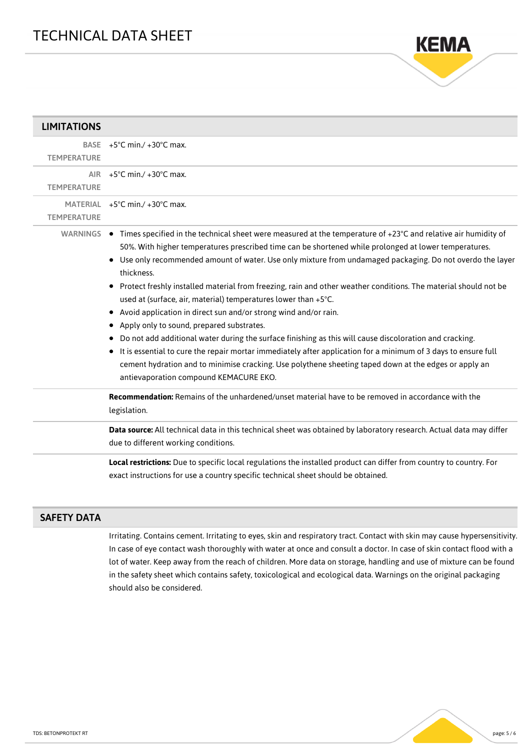

| <b>LIMITATIONS</b> |                                                                                                                                                                                                                                                                                                                                                                                                                                                                                                                                                                                                                                                                                                                                                                                                                                                                                                                                                                                                                                                             |
|--------------------|-------------------------------------------------------------------------------------------------------------------------------------------------------------------------------------------------------------------------------------------------------------------------------------------------------------------------------------------------------------------------------------------------------------------------------------------------------------------------------------------------------------------------------------------------------------------------------------------------------------------------------------------------------------------------------------------------------------------------------------------------------------------------------------------------------------------------------------------------------------------------------------------------------------------------------------------------------------------------------------------------------------------------------------------------------------|
| <b>TEMPERATURE</b> | BASE $+5^{\circ}$ C min./ $+30^{\circ}$ C max.                                                                                                                                                                                                                                                                                                                                                                                                                                                                                                                                                                                                                                                                                                                                                                                                                                                                                                                                                                                                              |
| <b>TEMPERATURE</b> | AIR $+5^{\circ}$ C min./ $+30^{\circ}$ C max.                                                                                                                                                                                                                                                                                                                                                                                                                                                                                                                                                                                                                                                                                                                                                                                                                                                                                                                                                                                                               |
| <b>TEMPERATURE</b> | MATERIAL $+5^{\circ}$ C min./ $+30^{\circ}$ C max.                                                                                                                                                                                                                                                                                                                                                                                                                                                                                                                                                                                                                                                                                                                                                                                                                                                                                                                                                                                                          |
|                    | WARNINGS ● Times specified in the technical sheet were measured at the temperature of +23°C and relative air humidity of<br>50%. With higher temperatures prescribed time can be shortened while prolonged at lower temperatures.<br>• Use only recommended amount of water. Use only mixture from undamaged packaging. Do not overdo the layer<br>thickness.<br>• Protect freshly installed material from freezing, rain and other weather conditions. The material should not be<br>used at (surface, air, material) temperatures lower than +5°C.<br>• Avoid application in direct sun and/or strong wind and/or rain.<br>Apply only to sound, prepared substrates.<br>Do not add additional water during the surface finishing as this will cause discoloration and cracking.<br>It is essential to cure the repair mortar immediately after application for a minimum of 3 days to ensure full<br>٠<br>cement hydration and to minimise cracking. Use polythene sheeting taped down at the edges or apply an<br>antievaporation compound KEMACURE EKO. |
|                    | Recommendation: Remains of the unhardened/unset material have to be removed in accordance with the<br>legislation.                                                                                                                                                                                                                                                                                                                                                                                                                                                                                                                                                                                                                                                                                                                                                                                                                                                                                                                                          |
|                    | Data source: All technical data in this technical sheet was obtained by laboratory research. Actual data may differ<br>due to different working conditions.                                                                                                                                                                                                                                                                                                                                                                                                                                                                                                                                                                                                                                                                                                                                                                                                                                                                                                 |
|                    | Local restrictions: Due to specific local regulations the installed product can differ from country to country. For<br>exact instructions for use a country specific technical sheet should be obtained.                                                                                                                                                                                                                                                                                                                                                                                                                                                                                                                                                                                                                                                                                                                                                                                                                                                    |

## SAFETY DATA

Irritating. Contains cement. Irritating to eyes, skin and respiratory tract. Contact with skin may cause hypersensitivity. In case of eye contact wash thoroughly with water at once and consult a doctor. In case of skin contact flood with a lot of water. Keep away from the reach of children. More data on storage, handling and use of mixture can be found in the safety sheet which contains safety, toxicological and ecological data. Warnings on the original packaging should also be considered.